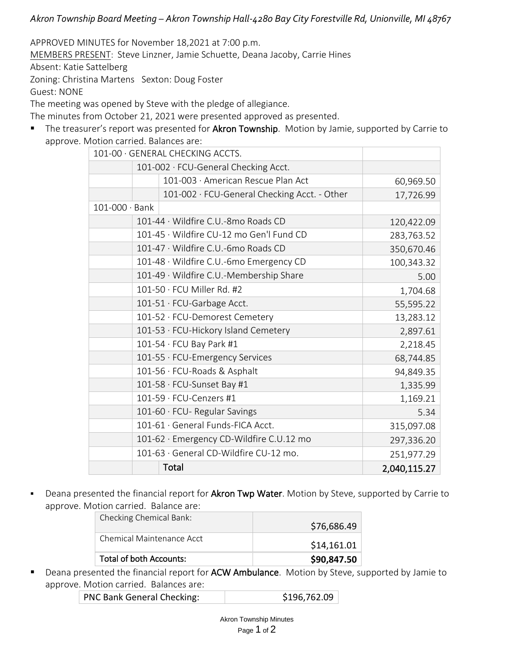*Akron Township Board Meeting – Akron Township Hall-4280 Bay City Forestville Rd, Unionville, MI 48767*

APPROVED MINUTES for November 18,2021 at 7:00 p.m. MEMBERS PRESENT: Steve Linzner, Jamie Schuette, Deana Jacoby, Carrie Hines Absent: Katie Sattelberg Zoning: Christina Martens Sexton: Doug Foster Guest: NONE

The meeting was opened by Steve with the pledge of allegiance.

The minutes from October 21, 2021 were presented approved as presented.

■ The treasurer's report was presented for Akron Township. Motion by Jamie, supported by Carrie to approve. Motion carried. Balances are:

| 101-00 · GENERAL CHECKING ACCTS.    |                                      |                                              |              |
|-------------------------------------|--------------------------------------|----------------------------------------------|--------------|
|                                     | 101-002 · FCU-General Checking Acct. |                                              |              |
|                                     |                                      | 101-003 · American Rescue Plan Act           | 60,969.50    |
|                                     |                                      | 101-002 · FCU-General Checking Acct. - Other | 17,726.99    |
| $101-000 \cdot$ Bank                |                                      |                                              |              |
| 101-44 · Wildfire C.U.-8mo Roads CD |                                      |                                              | 120,422.09   |
|                                     |                                      | 101-45 · Wildfire CU-12 mo Gen'l Fund CD     | 283,763.52   |
|                                     | 101-47 · Wildfire C.U.-6mo Roads CD  | 350,670.46                                   |              |
|                                     |                                      | 101-48 · Wildfire C.U.-6mo Emergency CD      | 100,343.32   |
|                                     |                                      | 101-49 · Wildfire C.U.-Membership Share      | 5.00         |
|                                     |                                      | 101-50 · FCU Miller Rd. #2                   | 1,704.68     |
|                                     |                                      | 101-51 · FCU-Garbage Acct.                   | 55,595.22    |
|                                     |                                      | 101-52 · FCU-Demorest Cemetery               | 13,283.12    |
|                                     |                                      | 101-53 · FCU-Hickory Island Cemetery         | 2,897.61     |
|                                     |                                      | 101-54 $\cdot$ FCU Bay Park #1               | 2,218.45     |
|                                     |                                      | 101-55 · FCU-Emergency Services              | 68,744.85    |
|                                     |                                      | 101-56 · FCU-Roads & Asphalt                 | 94,849.35    |
|                                     |                                      | 101-58 · FCU-Sunset Bay #1                   | 1,335.99     |
|                                     |                                      | 101-59 · FCU-Cenzers #1                      | 1,169.21     |
|                                     |                                      | 101-60 · FCU- Regular Savings                | 5.34         |
|                                     | 101-61 · General Funds-FICA Acct.    |                                              | 315,097.08   |
|                                     |                                      | 101-62 · Emergency CD-Wildfire C.U.12 mo     | 297,336.20   |
|                                     |                                      | 101-63 · General CD-Wildfire CU-12 mo.       | 251,977.29   |
|                                     |                                      | Total                                        | 2,040,115.27 |

**EXTED THE INCORDE FINAL THE COROTABLE 10 FORM THE INCORDE FINAL TITLE IS CONTED THE TO FILM THE TO FINAL THE TO** approve. Motion carried. Balance are:

| Total of both Accounts:   | \$90,847.50 |
|---------------------------|-------------|
| Chemical Maintenance Acct | \$14,161.01 |
| Checking Chemical Bank:   | \$76,686.49 |

■ Deana presented the financial report for ACW Ambulance. Motion by Steve, supported by Jamie to approve. Motion carried. Balances are:

| <b>PNC Bank General Checking:</b> | \$196,762.09 |
|-----------------------------------|--------------|
|-----------------------------------|--------------|